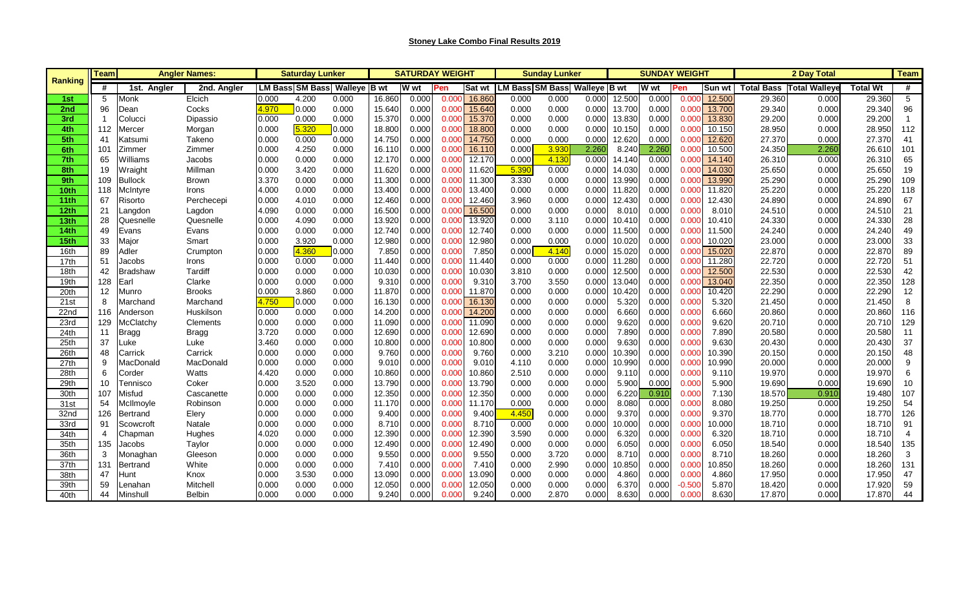| <b>Ranking</b>   | <b>Team</b><br><b>Angler Names:</b><br><b>Saturday Lunker</b> |                 |               |       |       |                                     | <b>SATURDAY WEIGHT</b> |       |       | <b>Sunday Lunker</b> |                              | <b>SUNDAY WEIGHT</b> |       |        |       |          | <b>Team</b>   |                   |                      |                 |                |
|------------------|---------------------------------------------------------------|-----------------|---------------|-------|-------|-------------------------------------|------------------------|-------|-------|----------------------|------------------------------|----------------------|-------|--------|-------|----------|---------------|-------------------|----------------------|-----------------|----------------|
|                  | #                                                             | 1st. Angler     | 2nd. Angler   |       |       | <b>LM Bass SM Bass Walleve B wt</b> |                        | W wt  | Pen   | <b>Sat wt</b>        | LM Bass SM Bass Walleye B wt |                      |       |        | W wt  | Pen      | <b>Sun wt</b> | <b>Total Bass</b> | <b>Total Walleye</b> | <b>Total Wt</b> | #              |
| 1st              | 5                                                             | Monk            | Elcich        | 0.000 | 4.200 | 0.000                               | 16.860                 | 0.000 | 0.00  | 16.860               | 0.000                        | 0.000                | 0.000 | 12.500 | 0.000 | 0.00     | 12.500        | 29.360            | 0.000                | 29.360          | 5              |
| 2nd              | 96                                                            | Dean            | Cocks         | 4.970 | 0.000 | 0.000                               | 15.640                 | 0.000 | 0.000 | 15.640               | 0.000                        | 0.000                | 0.000 | 13.700 | 0.000 | 0.000    | 13.700        | 29.340            | 0.000                | 29.340          | 96             |
| 3rd              |                                                               | Colucci         | Dipassio      | 0.000 | 0.000 | 0.000                               | 15.370                 | 0.000 | 0.000 | 15.370               | 0.000                        | 0.000                | 0.000 | 13.830 | 0.000 | 0.000    | 13.830        | 29.200            | 0.000                | 29.200          | $\overline{1}$ |
| 4th              | 112                                                           | Mercer          | Morgan        | 0.000 | 5.320 | 0.000                               | 18.800                 | 0.000 | 0.000 | 18.800               | 0.000                        | 0.000                | 0.000 | 10.150 | 0.000 | 0.000    | 10.150        | 28.950            | 0.000                | 28.950          | 112            |
| 5th              | 41                                                            | Katsumi         | Takeno        | 0.000 | 0.000 | 0.000                               | 14.750                 | 0.000 | 0.000 | 14.750               | 0.000                        | 0.000                | 0.000 | 12.620 | 0.000 | 0.000    | 12.620        | 27.370            | 0.000                | 27.370          | 41             |
| 6th              | 101                                                           | Zimmer          | Zimmer        | 0.000 | 4.250 | 0.000                               | 16.110                 | 0.000 | 0.00  | 16.110               | 0.000                        | 3.93                 | 2.260 | 8.240  | 2.26( | 0.000    | 10.500        | 24.350            | 2.260                | 26.610          | 101            |
| 7th              | 65                                                            | Williams        | Jacobs        | 0.000 | 0.000 | 0.000                               | 12.170                 | 0.000 | 0.000 | 12.170               | 0.000                        | 4.130                | 0.000 | 14.140 | 0.000 | 0.000    | 14.140        | 26.310            | 0.000                | 26.310          | 65             |
| 8th              | 19                                                            | Wraight         | Millman       | 0.000 | 3.420 | 0.000                               | 11.620                 | 0.000 | 0.000 | 11.620               | 5.390                        | 0.000                | 0.000 | 14.030 | 0.000 | 0.000    | 14.030        | 25.650            | 0.000                | 25.650          | 19             |
| 9th              | 109                                                           | <b>Bullock</b>  | Brown         | 3.370 | 0.000 | 0.000                               | 11.300                 | 0.000 | 0.000 | 11.300               | 3.330                        | 0.000                | 0.000 | 13.990 | 0.000 | 0.000    | 13.990        | 25.290            | 0.000                | 25.290          | 109            |
| 10th             | 118                                                           | McIntyre        | Irons         | 4.000 | 0.000 | 0.000                               | 13.400                 | 0.000 | 0.000 | 13.400               | 0.000                        | 0.000                | 0.000 | 11.820 | 0.000 | 0.000    | 11.820        | 25.220            | 0.000                | 25.220          | 118            |
| 11 <sub>th</sub> | 67                                                            | Risorto         | Perchecepi    | 0.000 | 4.010 | 0.000                               | 12.460                 | 0.000 | 0.000 | 12.460               | 3.960                        | 0.000                | 0.000 | 12.430 | 0.000 | 0.000    | 12.430        | 24.890            | 0.000                | 24.890          | 67             |
| 12th             | 21                                                            | Langdon         | Lagdon        | 4.090 | 0.000 | 0.000                               | 16.500                 | 0.000 | 0.000 | 16.500               | 0.000                        | 0.000                | 0.000 | 8.010  | 0.000 | 0.000    | 8.010         | 24.510            | 0.000                | 24.510          | 21             |
| 13th             | 28                                                            | Quesnelle       | Quesnelle     | 0.000 | 4.090 | 0.000                               | 13.920                 | 0.000 | 0.000 | 13.920               | 0.000                        | 3.110                | 0.000 | 10.410 | 0.000 | 0.000    | 10.410        | 24.330            | 0.000                | 24.330          | 28             |
| 14 <sub>th</sub> | 49                                                            | Evans           | Evans         | 0.000 | 0.000 | 0.000                               | 12.740                 | 0.000 | 0.000 | 12.740               | 0.000                        | 0.000                | 0.000 | 11.500 | 0.000 | 0.000    | 11.500        | 24.240            | 0.000                | 24.240          | 49             |
| 15th             | 33                                                            | Major           | Smart         | 0.000 | 3.920 | 0.000                               | 12.980                 | 0.000 | 0.000 | 12.980               | 0.000                        | 0.000                | 0.000 | 10.020 | 0.000 | 0.000    | 10.020        | 23.000            | 0.000                | 23.000          | 33             |
| 16th             | 89                                                            | Adler           | Crumpton      | 0.000 | 4.360 | 0.000                               | 7.850                  | 0.000 | 0.000 | 7.850                | 0.000                        | 4.140                | 0.000 | 15.020 | 0.000 | 0.000    | 15.020        | 22.870            | 0.000                | 22.870          | 89             |
| 17th             | 51                                                            | Jacobs          | Irons         | 0.000 | 0.000 | 0.000                               | 11.440                 | 0.000 | 0.000 | 11.440               | 0.000                        | 0.000                | 0.000 | 11.280 | 0.000 | 0.000    | 11.280        | 22.720            | 0.000                | 22.720          | 51             |
| 18th             | 42                                                            | <b>Bradshaw</b> | Tardiff       | 0.000 | 0.000 | 0.000                               | 10.030                 | 0.000 | 0.000 | 10.030               | 3.810                        | 0.000                | 0.000 | 12.500 | 0.000 | 0.000    | 12.500        | 22.530            | 0.000                | 22.530          | 42             |
| 19th             | 128                                                           | Earl            | Clarke        | 0.000 | 0.000 | 0.000                               | 9.310                  | 0.000 | 0.000 | 9.310                | 3.700                        | 3.550                | 0.000 | 13.040 | 0.000 | 0.000    | 13.040        | 22.350            | 0.000                | 22.350          | 128            |
| 20th             | 12                                                            | Munro           | <b>Brooks</b> | 0.000 | 3.860 | 0.000                               | 11.870                 | 0.000 | 0.000 | 11.870               | 0.000                        | 0.000                | 0.000 | 10.420 | 0.000 | 0.000    | 10.420        | 22.290            | 0.000                | 22.290          | 12             |
| 21st             | 8                                                             | Marchand        | Marchand      | 4.750 | 0.000 | 0.000                               | 16.130                 | 0.000 | 0.000 | 16.130               | 0.000                        | 0.000                | 0.000 | 5.320  | 0.000 | 0.000    | 5.320         | 21.450            | 0.000                | 21.450          | 8              |
| 22nd             | 116                                                           | Anderson        | Huskilson     | 0.000 | 0.000 | 0.000                               | 14.200                 | 0.000 | 0.000 | 14.200               | 0.000                        | 0.000                | 0.000 | 6.660  | 0.000 | 0.000    | 6.660         | 20.860            | 0.000                | 20.860          | 116            |
| 23rd             | 129                                                           | McClatchy       | Clements      | 0.000 | 0.000 | 0.000                               | 11.090                 | 0.000 | 0.000 | 11.090               | 0.000                        | 0.000                | 0.000 | 9.620  | 0.000 | 0.000    | 9.620         | 20.710            | 0.000                | 20.710          | 129            |
| 24th             | 11                                                            | <b>Bragg</b>    | <b>Bragg</b>  | 3.720 | 0.000 | 0.000                               | 12.690                 | 0.000 | 0.000 | 12.690               | 0.000                        | 0.000                | 0.000 | 7.890  | 0.000 | 0.000    | 7.890         | 20.580            | 0.000                | 20.580          | 11             |
| 25th             | 37                                                            | Luke            | Luke          | 3.460 | 0.000 | 0.000                               | 10.800                 | 0.000 | 0.00( | 10.800               | 0.000                        | 0.000                | 0.000 | 9.630  | 0.000 | 0.000    | 9.630         | 20.430            | 0.000                | 20.430          | 37             |
| 26th             | 48                                                            | Carrick         | Carrick       | 0.000 | 0.000 | 0.000                               | 9.760                  | 0.000 | 0.000 | 9.760                | 0.000                        | 3.210                | 0.000 | 10.390 | 0.000 | 0.000    | 10.390        | 20.150            | 0.000                | 20.150          | 48             |
| 27th             | 9                                                             | MacDonald       | MacDonald     | 0.000 | 0.000 | 0.000                               | 9.010                  | 0.000 | 0.000 | 9.010                | 4.110                        | 0.000                | 0.000 | 10.990 | 0.000 | 0.000    | 10.990        | 20.000            | 0.000                | 20.000          | 9              |
| 28th             | 6                                                             | Corder          | Watts         | 4.420 | 0.000 | 0.000                               | 10.860                 | 0.000 | 0.000 | 10.860               | 2.510                        | 0.000                | 0.000 | 9.110  | 0.000 | 0.000    | 9.110         | 19.970            | 0.000                | 19.970          | 6              |
| 29th             | 10                                                            | Tennisco        | Coker         | 0.000 | 3.520 | 0.000                               | 13.790                 | 0.000 | 0.000 | 13.790               | 0.000                        | 0.000                | 0.000 | 5.900  | 0.000 | 0.000    | 5.900         | 19.690            | 0.000                | 19.690          | 10             |
| 30th             | 107                                                           | Misfud          | Cascanette    | 0.000 | 0.000 | 0.000                               | 12.350                 | 0.000 | 0.000 | 12.350               | 0.000                        | 0.000                | 0.000 | 6.220  | 0.91( | 0.000    | 7.130         | 18.570            | 0.910                | 19.480          | 107            |
| 31 <sub>st</sub> | 54                                                            | McIlmoyle       | Robinson      | 0.000 | 0.000 | 0.000                               | 11.170                 | 0.000 | 0.000 | 11.170               | 0.000                        | 0.000                | 0.000 | 8.080  | 0.000 | 0.000    | 8.080         | 19.250            | 0.000                | 19.250          | 54             |
| 32nd             | 126                                                           | Bertrand        | Elery         | 0.000 | 0.000 | 0.000                               | 9.400                  | 0.000 | 0.000 | 9.400                | 4.450                        | 0.000                | 0.000 | 9.370  | 0.000 | 0.000    | 9.370         | 18.770            | 0.000                | 18.770          | 126            |
| 33rd             | 91                                                            | Scowcroft       | Natale        | 0.000 | 0.000 | 0.000                               | 8.710                  | 0.000 | 0.000 | 8.710                | 0.000                        | 0.000                | 0.000 | 10.000 | 0.000 | 0.000    | 10.000        | 18.710            | 0.000                | 18.710          | 91             |
| 34th             | 4                                                             | Chapman         | Hughes        | 4.020 | 0.000 | 0.000                               | 12.390                 | 0.000 | 0.000 | 12.390               | 3.590                        | 0.000                | 0.000 | 6.320  | 0.000 | 0.000    | 6.320         | 18.710            | 0.000                | 18.710          | $\overline{4}$ |
| 35th             | 135                                                           | Jacobs          | Taylor        | 0.000 | 0.000 | 0.000                               | 12.490                 | 0.000 | 0.000 | 12.490               | 0.000                        | 0.000                | 0.000 | 6.050  | 0.000 | 0.000    | 6.050         | 18.540            | 0.000                | 18.540          | 135            |
| 36th             | 3                                                             | Monaghan        | Gleeson       | 0.000 | 0.000 | 0.000                               | 9.550                  | 0.000 | 0.000 | 9.550                | 0.000                        | 3.720                | 0.000 | 8.710  | 0.000 | 0.000    | 8.710         | 18.260            | 0.000                | 18.260          | 3              |
| 37th             | 131                                                           | Bertrand        | White         | 0.000 | 0.000 | 0.000                               | 7.41(                  | 0.000 | 0.000 | 7.410                | 0.000                        | 2.990                | 0.000 | 10.850 | 0.000 | 0.000    | 10.850        | 18.260            | 0.000                | 18.260          | 131            |
| 38th             | 47                                                            | Hunt            | Knox          | 0.000 | 3.530 | 0.000                               | 13.090                 | 0.000 | 0.000 | 13.090               | 0.000                        | 0.000                | 0.000 | 4.860  | 0.000 | 0.000    | 4.860         | 17.950            | 0.000                | 17.950          | 47             |
| 39th             | 59                                                            | Lenahan         | Mitchell      | 0.000 | 0.000 | 0.000                               | 12.050                 | 0.000 | 0.000 | 12.050               | 0.000                        | 0.000                | 0.000 | 6.370  | 0.000 | $-0.500$ | 5.870         | 18.420            | 0.000                | 17.920          | 59             |
| 40th             | 44                                                            | Minshull        | <b>Belbin</b> | 0.000 | 0.000 | 0.000                               | 9.240                  | 0.000 | 0.000 | 9.240                | 0.000                        | 2.870                | 0.000 | 8.630  | 0.000 | 0.000    | 8.630         | 17.870            | 0.000                | 17.870          | 44             |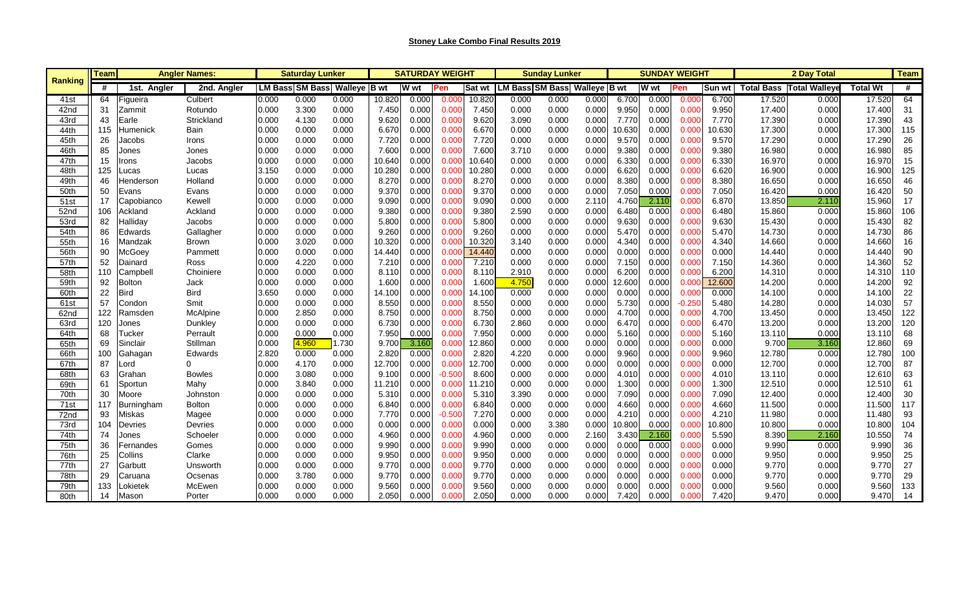| Ranking          | <b>Angler Names</b><br>Teaml |             |               |       | Saturday Lunker        |              | <b>SATURDAY WEIGHT</b> |             |          |        | <b>Sunday Lunker</b>         |       |       | <b>SUNDAY WEIGHT</b> |       |          | 2 Day Total   |        |                                 | <b>Team</b>     |     |
|------------------|------------------------------|-------------|---------------|-------|------------------------|--------------|------------------------|-------------|----------|--------|------------------------------|-------|-------|----------------------|-------|----------|---------------|--------|---------------------------------|-----------------|-----|
|                  | #                            | 1st. Angler | 2nd. Angler   |       | <b>LM Bass SM Bass</b> | Walleye B wt |                        | <b>W</b> wt | Pen      | Sat wt | LM Bass SM Bass Walleye B wt |       |       |                      | W wt  | Pen      | <b>Sun wt</b> |        | <b>Total Bass Total Walleye</b> | <b>Total Wt</b> | #   |
| 41st             | 64                           | igueira     | Culbert       | 0.000 | 0.000                  | 0.000        | 10.820                 | 0.000       | 0.00(    | 10.820 | 0.000                        | 0.000 | 0.000 | 6.700                | 0.000 | 0.000    | 6.700         | 17.520 | 0.000                           | 17.520          | 64  |
| 42nd             | 31                           | Zammit      | Rotundo       | 0.000 | 3.300                  | 0.000        | 7.450                  | 0.000       | 0.000    | 7.450  | 0.000                        | 0.000 | 0.000 | 9.950                | 0.000 | 0.000    | 9.950         | 17.400 | 0.000                           | 17.400          | 31  |
| 43rd             | 43                           | Earle       | Strickland    | 0.000 | 4.130                  | 0.000        | 9.620                  | 0.000       | 0.000    | 9.620  | 3.090                        | 0.000 | 0.000 | 7.770                | 0.000 | 0.000    | 7.770         | 17.390 | 0.000                           | 17.390          | 43  |
| 44th             | 115                          | Humenick    | Bain          | 0.000 | 0.000                  | 0.000        | 6.670                  | 0.000       | 0.000    | 6.670  | 0.000                        | 0.000 | 0.000 | 10.630               | 0.000 | 0.000    | 10.630        | 17.300 | 0.000                           | 17.300          | 115 |
| 45th             | 26                           | Jacobs      | Irons         | 0.000 | 0.000                  | 0.000        | 7.720                  | 0.000       | 0.000    | 7.720  | 0.000                        | 0.000 | 0.000 | 9.570                | 0.000 | 0.000    | 9.570         | 17.290 | 0.000                           | 17.290          | 26  |
| 46th             | 85                           | Jones       | Jones         | 0.000 | 0.000                  | 0.000        | 7.600                  | 0.000       | 0.000    | 7.600  | 3.710                        | 0.000 | 0.000 | 9.380                | 0.000 | 0.000    | 9.380         | 16.980 | 0.000                           | 16.980          | 85  |
| 47th             | 15                           | rons        | Jacobs        | 0.000 | 0.000                  | 0.000        | 10.640                 | 0.00C       | 0.000    | 10.640 | 0.000                        | 0.000 | 0.000 | 6.330                | 0.000 | 0.000    | 6.330         | 16.970 | 0.000                           | 16.970          | 15  |
| 48th             | 125                          | ucas        | Lucas         | 3.150 | 0.000                  | 0.000        | 10.280                 | 0.000       | 0.000    | 10.280 | 0.000                        | 0.000 | 0.000 | 6.620                | 0.000 | 0.000    | 6.620         | 16.900 | 0.000                           | 16.900          | 125 |
| 49th             | 46                           | Henderson   | Holland       | 0.000 | 0.000                  | 0.000        | 8.270                  | 0.000       | 0.000    | 8.270  | 0.000                        | 0.000 | 0.000 | 8.380                | 0.000 | 0.000    | 8.380         | 16.650 | 0.000                           | 16.650          | 46  |
| 50th             | 50                           | Evans       | Evans         | 0.000 | 0.000                  | 0.000        | 9.370                  | 0.000       | 0.000    | 9.370  | 0.000                        | 0.000 | 0.000 | 7.050                | 0.000 | 0.000    | 7.050         | 16.420 | 0.000                           | 16.420          | 50  |
| 51 <sub>st</sub> | 17                           | Capobianco  | Kewell        | 0.000 | 0.000                  | 0.000        | 9.090                  | 0.000       | 0.000    | 9.090  | 0.000                        | 0.000 | 2.110 | 4.760                | 2.110 | 0.000    | 6.870         | 13.850 | 2.110                           | 15.960          | 17  |
| 52nd             | 106                          | Ackland     | Ackland       | 0.000 | 0.000                  | 0.000        | 9.380                  | 0.000       | 0.000    | 9.380  | 2.590                        | 0.000 | 0.000 | 6.480                | 0.000 | 0.000    | 6.480         | 15.860 | 0.000                           | 15.860          | 106 |
| 53rd             | 82                           | Halliday    | Jacobs        | 0.000 | 0.000                  | 0.000        | 5.800                  | 0.000       | 0.000    | 5.800  | 0.000                        | 0.000 | 0.000 | 9.630                | 0.000 | 0.000    | 9.630         | 15.430 | 0.000                           | 15.430          | 82  |
| 54th             | 86                           | Edwards     | Gallagher     | 0.000 | 0.000                  | 0.000        | 9.260                  | 0.00C       | 0.000    | 9.260  | 0.000                        | 0.000 | 0.000 | 5.470                | 0.000 | 0.000    | 5.470         | 14.730 | 0.000                           | 14.730          | 86  |
| 55th             | 16                           | Vlandzak    | <b>Brown</b>  | 0.000 | 3.020                  | 0.000        | 10.320                 | 0.000       | 0.000    | 10.320 | 3.140                        | 0.000 | 0.000 | 4.340                | 0.000 | 0.000    | 4.340         | 14.660 | 0.000                           | 14.660          | 16  |
| 56th             | 90                           | McGoey      | Pammett       | 0.000 | 0.000                  | 0.000        | 14.440                 | 0.000       | 0.000    | 14.440 | 0.000                        | 0.000 | 0.000 | 0.000                | 0.000 | 0.000    | 0.000         | 14.440 | 0.000                           | 14.440          | 90  |
| 57th             | 52                           | Dainard     | Ross          | 0.000 | 4.220                  | 0.000        | 7.210                  | 0.000       | 0.000    | 7.210  | 0.000                        | 0.000 | 0.000 | 7.150                | 0.000 | 0.000    | 7.150         | 14.360 | 0.000                           | 14.360          | 52  |
| 58th             | 110                          | Campbell    | Choiniere     | 0.000 | 0.000                  | 0.000        | 8.110                  | 0.00C       | 0.000    | 8.110  | 2.910                        | 0.000 | 0.000 | 6.200                | 0.000 | 0.000    | 6.200         | 14.310 | 0.000                           | 14.310          | 110 |
| 59th             | 92                           | Bolton      | Jack          | 0.000 | 0.000                  | 0.000        | 1.600                  | 0.000       | 0.000    | 1.600  | 4.750                        | 0.000 | 0.000 | 12.600               | 0.000 | 0.000    | 12.600        | 14.200 | 0.000                           | 14.200          | 92  |
| 60th             | 22                           | Bird        | <b>Bird</b>   | 3.650 | 0.000                  | 0.000        | 14.100                 | 0.000       | 0.000    | 14.100 | 0.000                        | 0.000 | 0.000 | 0.000                | 0.000 | 0.000    | 0.000         | 14.100 | 0.000                           | 14.100          | 22  |
| 61 <sub>st</sub> | 57                           | Condon      | Smit          | 0.000 | 0.000                  | 0.000        | 8.550                  | 0.000       | 0.000    | 8.550  | 0.000                        | 0.000 | 0.000 | 5.730                | 0.000 | $-0.250$ | 5.480         | 14.280 | 0.000                           | 14.030          | 57  |
| 62nd             | 122                          | Ramsden     | McAlpine      | 0.000 | 2.850                  | 0.000        | 8.750                  | 0.00C       | 0.000    | 8.750  | 0.000                        | 0.000 | 0.000 | 4.700                | 0.000 | 0.000    | 4.700         | 13.450 | 0.000                           | 13.450          | 122 |
| 63rd             | 120                          | Jones       | Dunkley       | 0.000 | 0.000                  | 0.000        | 6.730                  | 0.000       | 0.000    | 6.730  | 2.860                        | 0.000 | 0.000 | 6.470                | 0.000 | 0.000    | 6.470         | 13.200 | 0.000                           | 13.200          | 120 |
| 64th             | 68                           | Tucker      | Perrault      | 0.000 | 0.000                  | 0.000        | 7.950                  | 0.000       | 0.000    | 7.950  | 0.000                        | 0.000 | 0.000 | 5.160                | 0.000 | 0.000    | 5.160         | 13.110 | 0.000                           | 13.110          | 68  |
| 65th             | 69                           | Sinclair    | Stillman      | 0.000 | 4.960                  | 1.730        | 9.700                  | 3.160       | 0.000    | 12.860 | 0.000                        | 0.000 | 0.000 | 0.00C                | 0.000 | 0.000    | 0.000         | 9.700  | 3.160                           | 12.860          | 69  |
| 66th             | 100                          | Gahagan     | Edwards       | 2.820 | 0.000                  | 0.000        | 2.820                  | 0.000       | 0.000    | 2.820  | 4.220                        | 0.000 | 0.000 | 9.960                | 0.000 | 0.000    | 9.960         | 12.780 | 0.000                           | 12.780          | 100 |
| 67th             | 87                           | _ord        | $\Omega$      | 0.000 | 4.170                  | 0.000        | 12.700                 | 0.000       | 0.000    | 12.700 | 0.000                        | 0.000 | 0.000 | 0.000                | 0.000 | 0.000    | 0.000         | 12.700 | 0.000                           | 12.700          | 87  |
| 68th             | 63                           | Grahan      | <b>Bowles</b> | 0.000 | 3.080                  | 0.000        | 9.100                  | 0.000       | $-0.500$ | 8.600  | 0.000                        | 0.000 | 0.000 | 4.010                | 0.000 | 0.000    | 4.010         | 13.110 | 0.000                           | 12.610          | 63  |
| 69th             | 61                           | Sportun     | Mahy          | 0.000 | 3.840                  | 0.000        | 11.210                 | 0.000       | 0.000    | 11.210 | 0.000                        | 0.000 | 0.000 | 1.300                | 0.000 | 0.000    | 1.300         | 12.510 | 0.000                           | 12.510          | 61  |
| 70th             | 30                           | Moore       | Johnston      | 0.000 | 0.000                  | 0.000        | 5.310                  | 0.000       | 0.000    | 5.310  | 3.390                        | 0.000 | 0.000 | 7.090                | 0.000 | 0.000    | 7.090         | 12.400 | 0.000                           | 12.400          | 30  |
| 71 <sub>st</sub> | 117                          | Burningham  | <b>Bolton</b> | 0.000 | 0.000                  | 0.000        | 6.840                  | 0.000       | 0.000    | 6.840  | 0.000                        | 0.000 | 0.000 | 4.660                | 0.000 | 0.000    | 4.660         | 11.500 | 0.000                           | 11.500          | 117 |
| 72nd             | 93                           | Miskas      | Magee         | 0.000 | 0.000                  | 0.000        | 7.770                  | 0.000       | $-0.500$ | 7.270  | 0.000                        | 0.000 | 0.000 | 4.210                | 0.000 | 0.000    | 4.210         | 11.980 | 0.000                           | 11.480          | 93  |
| 73rd             | 104                          | Devries     | Devries       | 0.000 | 0.000                  | 0.000        | 0.000                  | 0.000       | 0.000    | 0.000  | 0.000                        | 3.380 | 0.000 | 10.800               | 0.000 | 0.000    | 10.800        | 10.800 | 0.000                           | 10.800          | 104 |
| 74th             | 74                           | Jones       | Schoeler      | 0.000 | 0.000                  | 0.000        | 4.960                  | 0.000       | 0.000    | 4.960  | 0.000                        | 0.000 | 2.160 | 3.430                | 2.160 | 0.000    | 5.590         | 8.390  | 2.160                           | 10.550          | 74  |
| 75th             | 36                           | Fernandes   | Gomes         | 0.000 | 0.000                  | 0.000        | 9.990                  | 0.000       | 0.000    | 9.990  | 0.000                        | 0.000 | 0.000 | 0.000                | 0.000 | 0.000    | 0.000         | 9.990  | 0.000                           | 9.990           | 36  |
| 76th             | 25                           | Collins     | Clarke        | 0.000 | 0.000                  | 0.000        | 9.950                  | 0.000       | 0.000    | 9.950  | 0.000                        | 0.000 | 0.000 | 0.000                | 0.000 | 0.000    | 0.000         | 9.950  | 0.000                           | 9.950           | 25  |
| 77th             |                              | Garbutt     | Unsworth      | 0.000 | 0.000                  | 0.000        | 9.770                  | 0.00C       | 0.000    | 9.770  | 0.000                        | 0.000 | 0.000 | 0.000                | 0.000 | 0.000    | 0.000         | 9.770  | 0.000                           | 9.770           | 27  |
| 78th             | 29                           | Caruana     | Ocsenas       | 0.000 | 3.780                  | 0.000        | 9.770                  | 0.000       | 0.000    | 9.770  | 0.000                        | 0.000 | 0.000 | 0.000                | 0.000 | 0.000    | 0.000         | 9.770  | 0.000                           | 9.770           | 29  |
| 79th             | 133                          | _okietek    | McEwen        | 0.000 | 0.000                  | 0.000        | 9.560                  | 0.000       | 0.000    | 9.560  | 0.000                        | 0.000 | 0.000 | 0.000                | 0.000 | 0.000    | 0.000         | 9.560  | 0.000                           | 9.560           | 133 |
| 80th             | 14                           | Mason       | Porter        | 0.000 | 0.000                  | 0.000        | 2.050                  | 0.000       | 0.000    | 2.050  | 0.000                        | 0.000 | 0.000 | 7.420                | 0.000 | 0.000    | 7.420         | 9.470  | 0.000                           | 9.470           | 14  |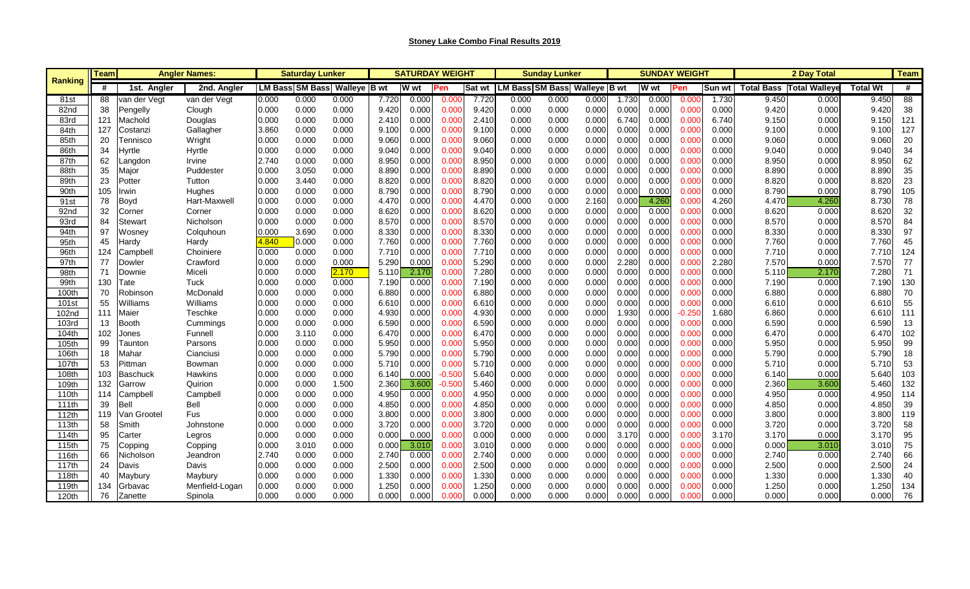| Ranking           | <b>Angler Names</b><br>Teaml |                 |                | Saturday Lunker |                        |              |       | <b>SATURDAY WEIGHT</b> |          |        |                              | <b>Sunday Lunker</b> |       |       | <b>SUNDAY WEIGHT</b> |          |        | 2 Day Total |                                 |                 | <b>Team</b> |
|-------------------|------------------------------|-----------------|----------------|-----------------|------------------------|--------------|-------|------------------------|----------|--------|------------------------------|----------------------|-------|-------|----------------------|----------|--------|-------------|---------------------------------|-----------------|-------------|
|                   | #                            | 1st. Angler     | 2nd. Angler    |                 | <b>LM Bass SM Bass</b> | Walleye B wt |       | <b>W</b> wt            | Pen      | Sat wt | LM Bass SM Bass Walleye B wt |                      |       |       | W wt                 | Pen      | Sun wt |             | <b>Total Bass Total Walleye</b> | <b>Total Wt</b> | #           |
| 81st              | 88                           | van der Vegt    | van der Vegt   | 0.000           | 0.000                  | 0.000        | 7.720 | 0.000                  | 0.00(    | 7.720  | 0.000                        | 0.000                | 0.000 | 1.730 | 0.000                | 0.000    | 1.730  | 9.450       | 0.000                           | 9.450           | 88          |
| 82nd              | 38                           | Pengelly        | Clough         | 0.000           | 0.000                  | 0.000        | 9.420 | 0.000                  | 0.000    | 9.420  | 0.000                        | 0.000                | 0.000 | 0.000 | 0.000                | 0.000    | 0.000  | 9.420       | 0.000                           | 9.420           | 38          |
| 83rd              | 121                          | Machold         | Douglas        | 0.000           | 0.000                  | 0.000        | 2.410 | 0.00C                  | 0.000    | 2.410  | 0.000                        | 0.000                | 0.000 | 6.740 | 0.000                | 0.000    | 6.740  | 9.150       | 0.000                           | 9.150           | 121         |
| 84th              | 127                          | Costanzi        | Gallagher      | 3.860           | 0.000                  | 0.000        | 9.100 | 0.000                  | 0.000    | 9.100  | 0.000                        | 0.000                | 0.000 | 0.000 | 0.000                | 0.000    | 0.000  | 9.100       | 0.000                           | 9.100           | 127         |
| 85th              | 20                           | Tennisco        | Wright         | 0.000           | 0.000                  | 0.000        | 9.060 | 0.000                  | 0.000    | 9.060  | 0.000                        | 0.000                | 0.000 | 0.000 | 0.000                | 0.000    | 0.000  | 9.060       | 0.000                           | 9.060           | 20          |
| 86th              | 34                           | Hyrtle          | Hyrtle         | 0.000           | 0.000                  | 0.000        | 9.040 | 0.000                  | 0.000    | 9.040  | 0.000                        | 0.000                | 0.000 | 0.000 | 0.000                | 0.000    | 0.000  | 9.040       | 0.000                           | 9.040           | 34          |
| 87th              | 62                           | Langdon         | Irvine         | 2.740           | 0.000                  | 0.000        | 8.950 | 0.00C                  | 0.000    | 8.950  | 0.000                        | 0.000                | 0.000 | 0.000 | 0.000                | 0.000    | 0.000  | 8.950       | 0.000                           | 8.950           | 62          |
| 88th              | 35                           | Major           | Puddester      | 0.000           | 3.050                  | 0.000        | 8.890 | 0.000                  | 0.000    | 8.890  | 0.000                        | 0.000                | 0.000 | 0.000 | 0.000                | 0.000    | 0.000  | 8.890       | 0.000                           | 8.890           | 35          |
| 89th              | 23                           | Potter          | Tutton         | 0.000           | 3.440                  | 0.000        | 8.820 | 0.000                  | 0.000    | 8.820  | 0.000                        | 0.000                | 0.000 | 0.000 | 0.000                | 0.000    | 0.000  | 8.820       | 0.000                           | 8.820           | 23          |
| 90th              | 105                          | Irwin           | Hughes         | 0.000           | 0.000                  | 0.000        | 8.790 | 0.00C                  | 0.000    | 8.790  | 0.000                        | 0.000                | 0.000 | 0.000 | 0.000                | 0.000    | 0.000  | 8.790       | 0.000                           | 8.790           | 105         |
| 91 <sub>st</sub>  | 78                           | Boyd            | Hart-Maxwell   | 0.000           | 0.000                  | 0.000        | 4.470 | 0.000                  | 0.000    | 4.470  | 0.000                        | 0.000                | 2.160 | 0.00C | 4.260                | 0.000    | 4.260  | 4.470       | 4.260                           | 8.730           | 78          |
| 92nd              | 32                           | Corner          | Corner         | 0.000           | 0.000                  | 0.000        | 8.620 | 0.000                  | 0.000    | 8.620  | 0.000                        | 0.000                | 0.000 | 0.000 | 0.000                | 0.000    | 0.000  | 8.620       | 0.000                           | 8.620           | 32          |
| 93rd              | 84                           | <b>Stewart</b>  | Nicholson      | 0.000           | 0.000                  | 0.000        | 8.570 | 0.000                  | 0.000    | 8.570  | 0.000                        | 0.000                | 0.000 | 0.000 | 0.000                | 0.000    | 0.000  | 8.570       | 0.000                           | 8.570           | 84          |
| 94th              | 97                           | Wosnev          | Colquhoun      | 0.000           | 3.690                  | 0.000        | 8.330 | 0.00C                  | 0.000    | 8.330  | 0.000                        | 0.000                | 0.000 | 0.000 | 0.000                | 0.000    | 0.000  | 8.330       | 0.000                           | 8.330           | 97          |
| 95th              | 45                           | Hardy           | Hardy          | 4.840           | 0.000                  | 0.000        | 7.760 | 0.000                  | 0.000    | 7.760  | 0.000                        | 0.000                | 0.000 | 0.000 | 0.000                | 0.000    | 0.000  | 7.760       | 0.000                           | 7.760           | 45          |
| 96th              | 124                          | Campbell        | Choiniere      | 0.000           | 0.000                  | 0.000        | 7.710 | 0.000                  | 0.000    | 7.710  | 0.000                        | 0.000                | 0.000 | 0.000 | 0.000                | 0.000    | 0.000  | 7.710       | 0.000                           | 7.710           | 124         |
| 97th              | 77                           | Dowler          | Crawford       | 0.000           | 0.000                  | 0.000        | 5.290 | 0.000                  | 0.000    | 5.290  | 0.000                        | 0.000                | 0.000 | 2.280 | 0.000                | 0.000    | 2.280  | 7.570       | 0.000                           | 7.570           | 77          |
| 98th              | 71                           | Downie          | Miceli         | 0.000           | 0.000                  | 2.170        | 5.110 | 2.170                  | 0.00(    | 7.280  | 0.000                        | 0.000                | 0.000 | 0.000 | 0.000                | 0.000    | 0.000  | 5.110       | 2.170                           | 7.280           | 71          |
| 99th              | 130                          | Tate            | Tuck           | 0.000           | 0.000                  | 0.000        | 7.190 | 0.000                  | 0.000    | 7.190  | 0.000                        | 0.000                | 0.000 | 0.000 | 0.000                | 0.000    | 0.000  | 7.190       | 0.000                           | 7.190           | 130         |
| 100th             | 70                           | Robinson        | McDonald       | 0.000           | 0.000                  | 0.000        | 6.880 | 0.000                  | 0.000    | 6.880  | 0.000                        | 0.000                | 0.000 | 0.000 | 0.000                | 0.000    | 0.000  | 6.880       | 0.000                           | 6.880           | 70          |
| 101 <sub>st</sub> | 55                           | Williams        | Williams       | 0.000           | 0.000                  | 0.000        | 6.610 | 0.000                  | 0.000    | 6.610  | 0.000                        | 0.000                | 0.000 | 0.000 | 0.000                | 0.000    | 0.000  | 6.610       | 0.000                           | 6.610           | 55          |
| 102nd             | 11'                          | Maier           | Teschke        | 0.000           | 0.000                  | 0.000        | 4.930 | 0.000                  | 0.000    | 4.930  | 0.000                        | 0.000                | 0.000 | 1.930 | 0.000                | $-0.250$ | 1.680  | 6.860       | 0.000                           | 6.610           | 111         |
| 103rd             | 13                           | Booth           | Cummings       | 0.000           | 0.000                  | 0.000        | 6.590 | 0.000                  | 0.000    | 6.590  | 0.000                        | 0.000                | 0.000 | 0.000 | 0.000                | 0.000    | 0.000  | 6.590       | 0.000                           | 6.590           | 13          |
| 104th             | 102                          | Jones           | Funnell        | 0.000           | 3.110                  | 0.000        | 6.470 | 0.000                  | 0.000    | 6.470  | 0.000                        | 0.000                | 0.000 | 0.000 | 0.000                | 0.000    | 0.000  | 6.470       | 0.000                           | 6.470           | 102         |
| 105th             | 99                           | Taunton         | Parsons        | 0.000           | 0.000                  | 0.000        | 5.950 | 0.000                  | 0.000    | 5.950  | 0.000                        | 0.000                | 0.000 | 0.00C | 0.000                | 0.000    | 0.000  | 5.950       | 0.000                           | 5.950           | 99          |
| 106th             | 18                           | Mahar           | Cianciusi      | 0.000           | 0.000                  | 0.000        | 5.790 | 0.00C                  | 0.000    | 5.790  | 0.000                        | 0.000                | 0.000 | 0.000 | 0.000                | 0.000    | 0.000  | 5.790       | 0.000                           | 5.790           | 18          |
| 107th             | 53                           | Pittman         | Bowman         | 0.000           | 0.000                  | 0.000        | 5.710 | 0.000                  | 0.000    | 5.710  | 0.000                        | 0.000                | 0.000 | 0.000 | 0.000                | 0.000    | 0.000  | 5.710       | 0.000                           | 5.710           | 53          |
| 108th             | 103                          | <b>Baschuck</b> | <b>Hawkins</b> | 0.000           | 0.000                  | 0.000        | 6.140 | 0.000                  | $-0.500$ | 5.640  | 0.000                        | 0.000                | 0.000 | 0.000 | 0.000                | 0.000    | 0.000  | 6.140       | 0.000                           | 5.640           | 103         |
| 109th             | 132                          | Garrow          | Quirion        | 0.000           | 0.000                  | 1.500        | 2.360 | 3.600                  | $-0.500$ | 5.460  | 0.000                        | 0.000                | 0.000 | 0.000 | 0.000                | 0.000    | 0.000  | 2.360       | 3.600                           | 5.460           | 132         |
| 110th             | 114                          | Campbell        | Campbell       | 0.000           | 0.000                  | 0.000        | 4.950 | 0.00C                  | 0.000    | 4.950  | 0.000                        | 0.000                | 0.000 | 0.000 | 0.000                | 0.000    | 0.000  | 4.950       | 0.000                           | 4.950           | 114         |
| 111th             | 39                           | Bell            | Bell           | 0.000           | 0.000                  | 0.000        | 4.850 | 0.000                  | 0.000    | 4.850  | 0.000                        | 0.000                | 0.000 | 0.000 | 0.000                | 0.000    | 0.000  | 4.850       | 0.000                           | 4.850           | 39          |
| 112th             | 119                          | Van Grootel     | Fus            | 0.000           | 0.000                  | 0.000        | 3.800 | 0.000                  | 0.000    | 3.800  | 0.000                        | 0.000                | 0.000 | 0.000 | 0.000                | 0.000    | 0.000  | 3.800       | 0.000                           | 3.800           | 119         |
| 113th             | 58                           | Smith           | Johnstone      | 0.000           | 0.000                  | 0.000        | 3.720 | 0.00C                  | 0.000    | 3.720  | 0.000                        | 0.000                | 0.000 | 0.000 | 0.000                | 0.000    | 0.000  | 3.720       | 0.000                           | 3.720           | 58          |
| 114th             | 95                           | Carter          | Legros         | 0.000           | 0.000                  | 0.000        | 0.000 | 0.000                  | 0.000    | 0.000  | 0.000                        | 0.000                | 0.000 | 3.170 | 0.000                | 0.000    | 3.170  | 3.170       | 0.000                           | 3.170           | 95          |
| 115th             | 75                           | Copping         | Copping        | 0.000           | 3.010                  | 0.000        | 0.000 | 3.01C                  | 0.000    | 3.010  | 0.000                        | 0.000                | 0.000 | 0.000 | 0.000                | 0.000    | 0.000  | 0.000       | 3.010                           | 3.010           | 75          |
| 116th             | 66                           | Nicholson       | Jeandron       | 2.740           | 0.000                  | 0.000        | 2.740 | 0.00C                  | 0.000    | 2.740  | 0.000                        | 0.000                | 0.000 | 0.000 | 0.000                | 0.000    | 0.000  | 2.740       | 0.000                           | 2.740           | 66          |
| 117th             |                              | Davis           | Davis          | 0.000           | 0.000                  | 0.000        | 2.500 | 0.00C                  | 0.000    | 2.500  | 0.000                        | 0.000                | 0.000 | 0.000 | 0.000                | 0.000    | 0.000  | 2.500       | 0.000                           | 2.500           | 24          |
| 118th             | 40                           | Maybury         | Maybury        | 0.000           | 0.000                  | 0.000        | 1.330 | 0.000                  | 0.000    | 1.330  | 0.000                        | 0.000                | 0.000 | 0.000 | 0.000                | 0.000    | 0.000  | 1.330       | 0.000                           | 1.330           | 40          |
| 119th             | 134                          | Grbavac         | Menfield-Logan | 0.000           | 0.000                  | 0.000        | 1.250 | 0.000                  | 0.000    | 1.250  | 0.000                        | 0.000                | 0.000 | 0.000 | 0.000                | 0.000    | 0.000  | 1.250       | 0.000                           | 1.250           | 134         |
| 120th             | 76                           | Zanette         | Spinola        | 0.000           | 0.000                  | 0.000        | 0.000 | 0.000                  | 0.000    | 0.000  | 0.000                        | 0.000                | 0.000 | 0.00C | 0.000                | 0.000    | 0.000  | 0.000       | 0.000                           | 0.000           | 76          |